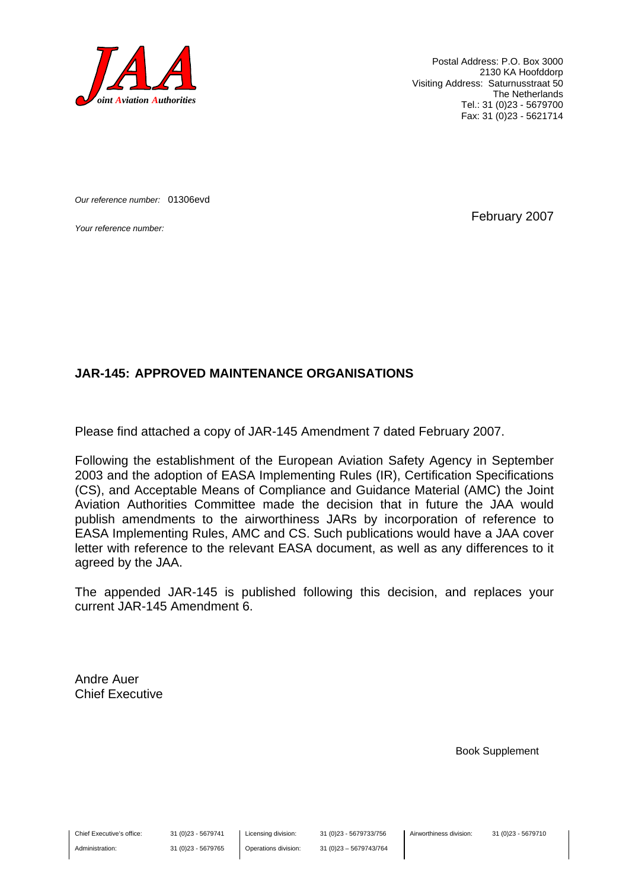

Postal Address: P.O. Box 3000 2130 KA Hoofddorp Visiting Address: Saturnusstraat 50 The Netherlands Tel.: 31 (0)23 - 5679700 Fax: 31 (0)23 - 5621714

*Our reference number:* 01306evd

*Your reference number:* February 2007

#### **JAR-145: APPROVED MAINTENANCE ORGANISATIONS**

Please find attached a copy of JAR-145 Amendment 7 dated February 2007.

Following the establishment of the European Aviation Safety Agency in September 2003 and the adoption of EASA Implementing Rules (IR), Certification Specifications (CS), and Acceptable Means of Compliance and Guidance Material (AMC) the Joint Aviation Authorities Committee made the decision that in future the JAA would publish amendments to the airworthiness JARs by incorporation of reference to EASA Implementing Rules, AMC and CS. Such publications would have a JAA cover letter with reference to the relevant EASA document, as well as any differences to it agreed by the JAA.

The appended JAR-145 is published following this decision, and replaces your current JAR-145 Amendment 6.

Andre Auer Chief Executive

Book Supplement

Chief Executive's office:

Administration:

31 (0)23 - 5679741 31 (0)23 - 5679765 Licensing division: Operations division: 31 (0)23 - 5679733/756 31 (0)23 – 5679743/764

Airworthiness division: 31 (0)23 - 5679710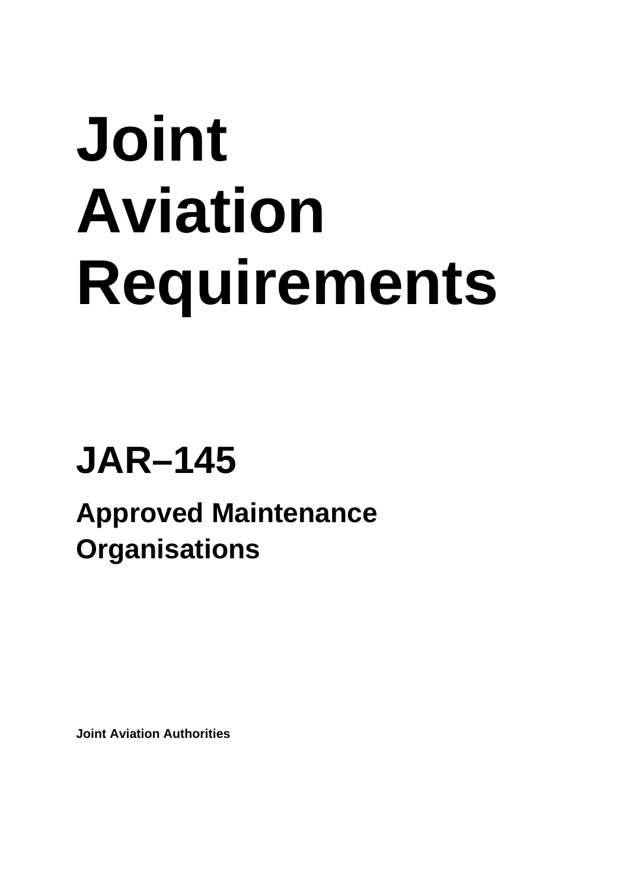# **Joint Aviation Requirements**

## **JAR–145**

#### **Approved Maintenance Organisations**

**Joint Aviation Authorities**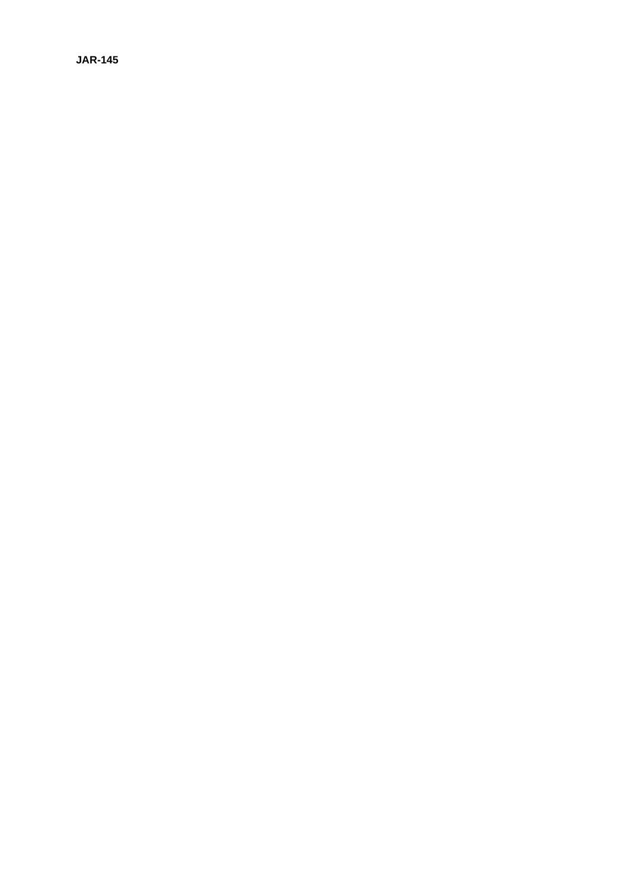**JAR-145**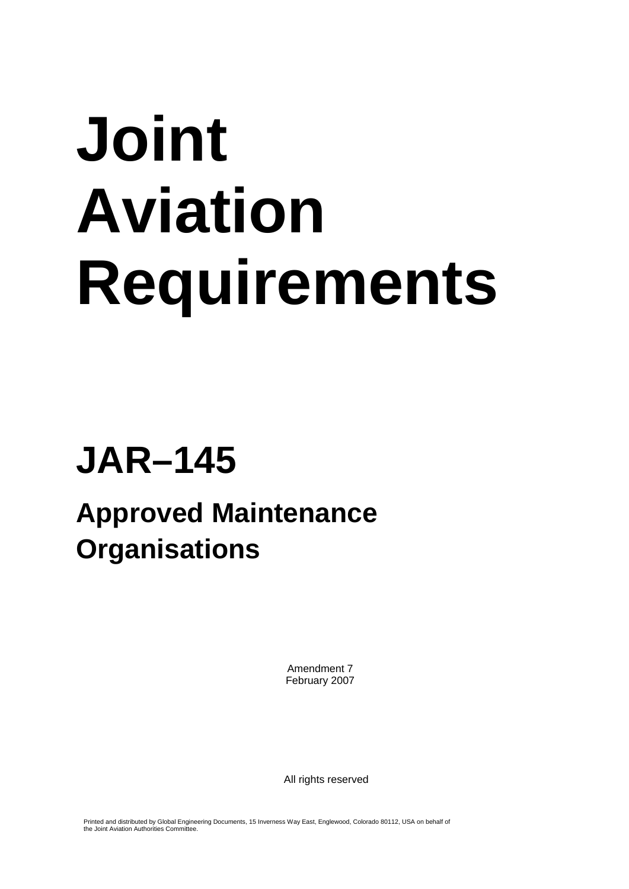# **Joint Aviation Requirements**

### **JAR–145**

### **Approved Maintenance Organisations**

Amendment 7 February 2007

All rights reserved

Printed and distributed by Global Engineering Documents, 15 Inverness Way East, Englewood, Colorado 80112, USA on behalf of the Joint Aviation Authorities Committee.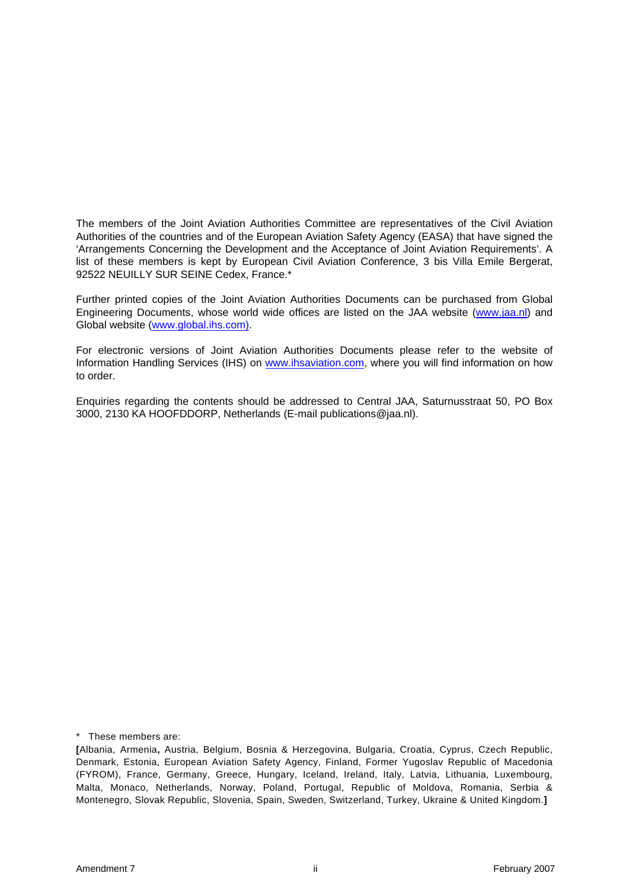The members of the Joint Aviation Authorities Committee are representatives of the Civil Aviation Authorities of the countries and of the European Aviation Safety Agency (EASA) that have signed the 'Arrangements Concerning the Development and the Acceptance of Joint Aviation Requirements'. A list of these members is kept by European Civil Aviation Conference, 3 bis Villa Emile Bergerat, 92522 NEUILLY SUR SEINE Cedex, France.\*

Further printed copies of the Joint Aviation Authorities Documents can be purchased from Global Engineering Documents, whose world wide offices are listed on the JAA website ([www.jaa.nl](http://www.jaa.nl/)) and Global website ([www.global.ihs.com\).](http://www.global.ihs.com)/)

For electronic versions of Joint Aviation Authorities Documents please refer to the website of Information Handling Services (IHS) on [www.ihsaviation.com,](http://www.ihsaviation.com/) where you will find information on how to order.

Enquiries regarding the contents should be addressed to Central JAA, Saturnusstraat 50, PO Box 3000, 2130 KA HOOFDDORP, Netherlands (E-mail publications@jaa.nl).

\* These members are:

**<sup>[</sup>**Albania, Armenia**,** Austria, Belgium, Bosnia & Herzegovina, Bulgaria, Croatia, Cyprus, Czech Republic, Denmark, Estonia, European Aviation Safety Agency, Finland, Former Yugoslav Republic of Macedonia (FYROM), France, Germany, Greece, Hungary, Iceland, Ireland, Italy, Latvia, Lithuania, Luxembourg, Malta, Monaco, Netherlands, Norway, Poland, Portugal, Republic of Moldova, Romania, Serbia & Montenegro, Slovak Republic, Slovenia, Spain, Sweden, Switzerland, Turkey, Ukraine & United Kingdom.**]**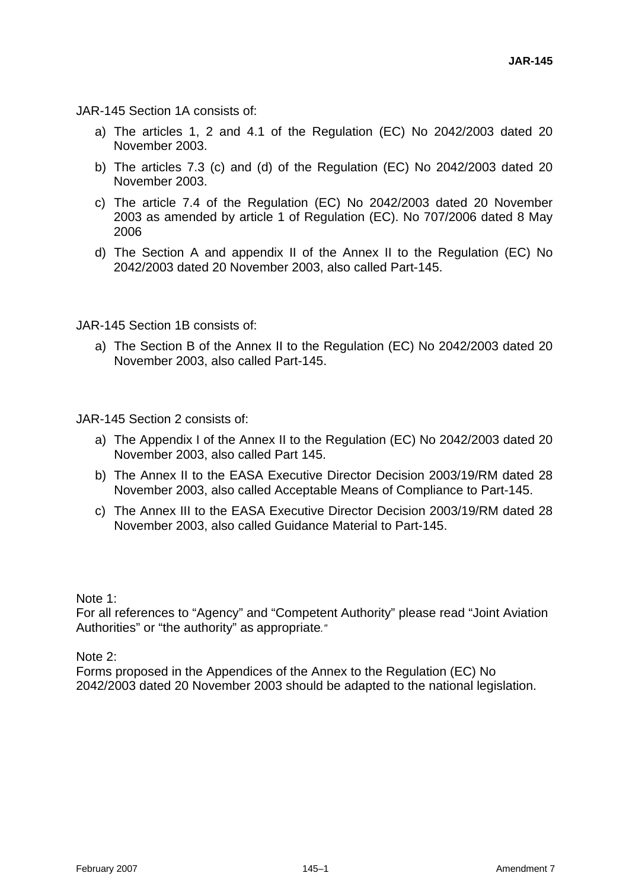JAR-145 Section 1A consists of:

- a) The articles 1, 2 and 4.1 of the Regulation (EC) No 2042/2003 dated 20 November 2003.
- b) The articles 7.3 (c) and (d) of the Regulation (EC) No 2042/2003 dated 20 November 2003.
- c) The article 7.4 of the Regulation (EC) No 2042/2003 dated 20 November 2003 as amended by article 1 of Regulation (EC). No 707/2006 dated 8 May 2006
- d) The Section A and appendix II of the Annex II to the Regulation (EC) No 2042/2003 dated 20 November 2003, also called Part-145.

JAR-145 Section 1B consists of:

a) The Section B of the Annex II to the Regulation (EC) No 2042/2003 dated 20 November 2003, also called Part-145.

JAR-145 Section 2 consists of:

- a) The Appendix I of the Annex II to the Regulation (EC) No 2042/2003 dated 20 November 2003, also called Part 145.
- b) The Annex II to the EASA Executive Director Decision 2003/19/RM dated 28 November 2003, also called Acceptable Means of Compliance to Part-145.
- c) The Annex III to the EASA Executive Director Decision 2003/19/RM dated 28 November 2003, also called Guidance Material to Part-145.

Note 1:

For all references to "Agency" and "Competent Authority" please read "Joint Aviation Authorities" or "the authority" as appropriate*."*

Note 2:

Forms proposed in the Appendices of the Annex to the Regulation (EC) No 2042/2003 dated 20 November 2003 should be adapted to the national legislation.